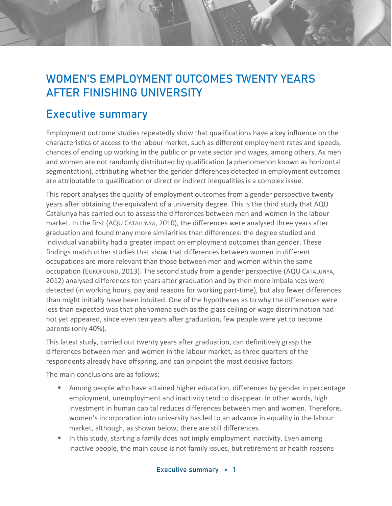## **WOMEN'S EMPLOYMENT OUTCOMES TWENTY YEARS AFTER FINISHING UNIVERSITY**

## **Executive summary**

Employment outcome studies repeatedly show that qualifications have a key influence on the characteristics of access to the labour market, such as different employment rates and speeds, chances of ending up working in the public or private sector and wages, among others. As men and women are not randomly distributed by qualification (a phenomenon known as horizontal segmentation), attributing whether the gender differences detected in employment outcomes are attributable to qualification or direct or indirect inequalities is a complex issue.

This report analyses the quality of employment outcomes from a gender perspective twenty years after obtaining the equivalent of a university degree. This is the third study that AQU Catalunya has carried out to assess the differences between men and women in the labour market. In the first (AQU CATALUNYA, 2010), the differences were analysed three years after graduation and found many more similarities than differences: the degree studied and individual variability had a greater impact on employment outcomes than gender. These findings match other studies that show that differences between women in different occupations are more relevant than those between men and women within the same occupation (EUROFOUND, 2013). The second study from a gender perspective (AQU CATALUNYA, 2012) analysed differences ten years after graduation and by then more imbalances were detected (in working hours, pay and reasons for working part-time), but also fewer differences than might initially have been intuited. One of the hypotheses as to why the differences were less than expected was that phenomena such as the glass ceiling or wage discrimination had not yet appeared, since even ten years after graduation, few people were yet to become parents (only 40%).

This latest study, carried out twenty years after graduation, can definitively grasp the differences between men and women in the labour market, as three quarters of the respondents already have offspring, and can pinpoint the most decisive factors.

The main conclusions are as follows:

- Among people who have attained higher education, differences by gender in percentage employment, unemployment and inactivity tend to disappear. In other words, high investment in human capital reduces differences between men and women. Therefore, women's incorporation into university has led to an advance in equality in the labour market, although, as shown below, there are still differences.
- In this study, starting a family does not imply employment inactivity. Even among inactive people, the main cause is not family issues, but retirement or health reasons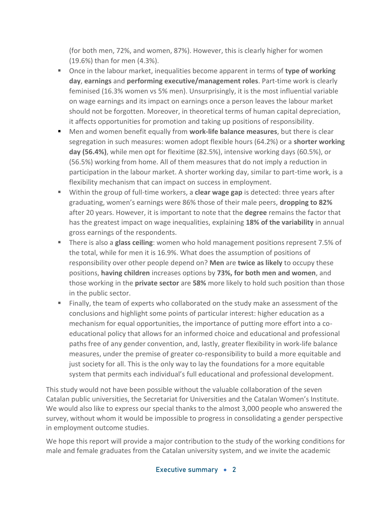(for both men, 72%, and women, 87%). However, this is clearly higher for women (19.6%) than for men (4.3%).

- Once in the labour market, inequalities become apparent in terms of **type of working day**, **earnings** and **performing executive/management roles**. Part-time work is clearly feminised (16.3% women vs 5% men). Unsurprisingly, it is the most influential variable on wage earnings and its impact on earnings once a person leaves the labour market should not be forgotten. Moreover, in theoretical terms of human capital depreciation, it affects opportunities for promotion and taking up positions of responsibility.
- Men and women benefit equally from **work-life balance measures**, but there is clear segregation in such measures: women adopt flexible hours (64.2%) or a **shorter working day (56.4%)**, while men opt for flexitime (82.5%), intensive working days (60.5%), or (56.5%) working from home. All of them measures that do not imply a reduction in participation in the labour market. A shorter working day, similar to part-time work, is a flexibility mechanism that can impact on success in employment.
- Within the group of full-time workers, a **clear wage gap** is detected: three years after graduating, women's earnings were 86% those of their male peers, **dropping to 82%** after 20 years. However, it is important to note that the **degree** remains the factor that has the greatest impact on wage inequalities, explaining **18% of the variability** in annual gross earnings of the respondents.
- There is also a **glass ceiling**: women who hold management positions represent 7.5% of the total, while for men it is 16.9%. What does the assumption of positions of responsibility over other people depend on? **Men** are **twice as likely** to occupy these positions, **having children** increases options by **73%, for both men and women**, and those working in the **private sector** are **58%** more likely to hold such position than those in the public sector.
- Finally, the team of experts who collaborated on the study make an assessment of the conclusions and highlight some points of particular interest: higher education as a mechanism for equal opportunities, the importance of putting more effort into a coeducational policy that allows for an informed choice and educational and professional paths free of any gender convention, and, lastly, greater flexibility in work-life balance measures, under the premise of greater co-responsibility to build a more equitable and just society for all. This is the only way to lay the foundations for a more equitable system that permits each individual's full educational and professional development.

This study would not have been possible without the valuable collaboration of the seven Catalan public universities, the Secretariat for Universities and the Catalan Women's Institute. We would also like to express our special thanks to the almost 3,000 people who answered the survey, without whom it would be impossible to progress in consolidating a gender perspective in employment outcome studies.

We hope this report will provide a major contribution to the study of the working conditions for male and female graduates from the Catalan university system, and we invite the academic